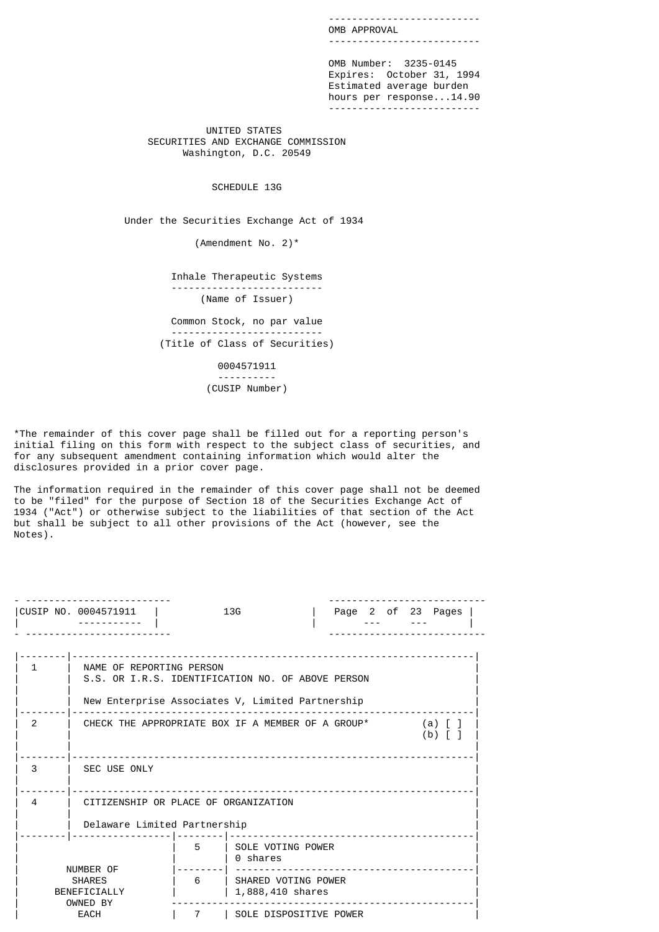-------------------------- OMB APPROVAL --------------------------

 OMB Number: 3235-0145 Expires: October 31, 1994 Estimated average burden hours per response...14.90 --------------------------

> UNITED STATES SECURITIES AND EXCHANGE COMMISSION Washington, D.C. 20549

> > SCHEDULE 13G

Under the Securities Exchange Act of 1934

(Amendment No. 2)\*

 Inhale Therapeutic Systems -------------------------- (Name of Issuer)

 Common Stock, no par value -------------------------- (Title of Class of Securities)

> 0004571911 ---------- (CUSIP Number)

\*The remainder of this cover page shall be filled out for a reporting person's initial filing on this form with respect to the subject class of securities, and for any subsequent amendment containing information which would alter the disclosures provided in a prior cover page.

The information required in the remainder of this cover page shall not be deemed to be "filed" for the purpose of Section 18 of the Securities Exchange Act of 1934 ("Act") or otherwise subject to the liabilities of that section of the Act but shall be subject to all other provisions of the Act (however, see the Notes).

|               | CUSIP NO. 0004571911                                                          |   | 13 <sub>G</sub>                           |  |  | Page 2 of 23 Pages |  |
|---------------|-------------------------------------------------------------------------------|---|-------------------------------------------|--|--|--------------------|--|
|               |                                                                               |   | -----------                               |  |  |                    |  |
| 1             | NAME OF REPORTING PERSON<br>S.S. OR I.R.S. IDENTIFICATION NO. OF ABOVE PERSON |   |                                           |  |  |                    |  |
|               | New Enterprise Associates V, Limited Partnership                              |   |                                           |  |  |                    |  |
| $\mathcal{P}$ | CHECK THE APPROPRIATE BOX IF A MEMBER OF A GROUP*                             |   |                                           |  |  | (a)<br>(b)         |  |
| 3             | SEC USE ONLY                                                                  |   |                                           |  |  |                    |  |
| 4             | CITIZENSHIP OR PLACE OF ORGANIZATION<br>Delaware Limited Partnership          |   |                                           |  |  |                    |  |
|               |                                                                               |   |                                           |  |  |                    |  |
|               |                                                                               | 5 | SOLE VOTING POWER<br>0 shares             |  |  |                    |  |
|               | NUMBER OF<br><b>SHARES</b><br>BENEFICIALLY                                    | 6 | I SHARED VOTING POWER<br>1,888,410 shares |  |  |                    |  |
|               | OWNED BY<br><b>EACH</b>                                                       | 7 | SOLE DISPOSITIVE POWER                    |  |  |                    |  |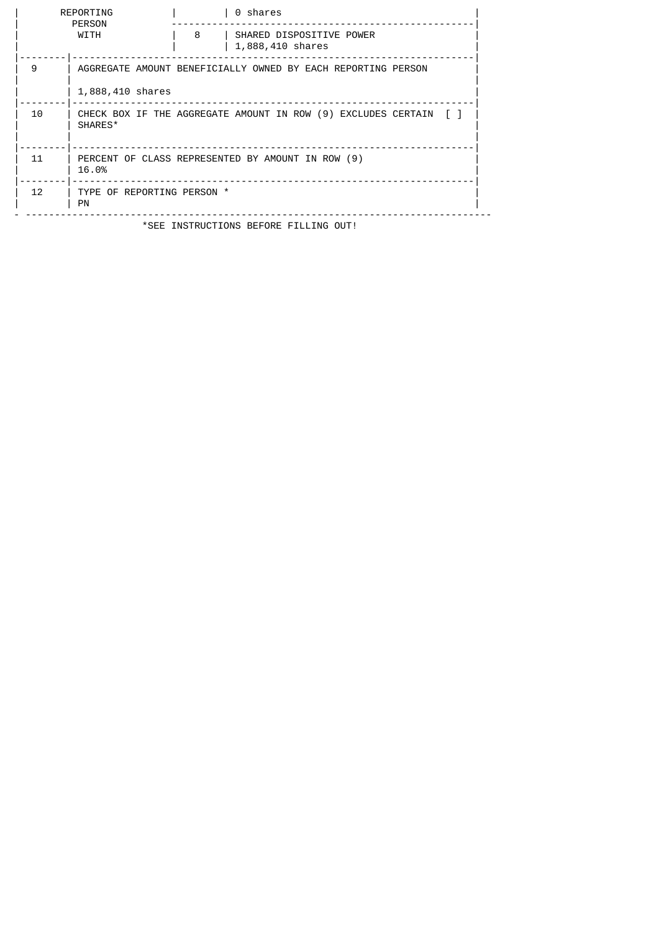|    | REPORTING<br>PERSON                     |   | 0 shares                                                          |
|----|-----------------------------------------|---|-------------------------------------------------------------------|
|    | WITH                                    | 8 | SHARED DISPOSITIVE POWER<br>1,888,410 shares                      |
| 9  |                                         |   | AGGREGATE AMOUNT BENEFICIALLY OWNED BY EACH REPORTING PERSON      |
|    | 1,888,410 shares                        |   |                                                                   |
| 10 | SHARES*                                 |   | CHECK BOX IF THE AGGREGATE AMOUNT IN ROW (9) EXCLUDES CERTAIN [ ] |
| 11 | 16.0%                                   |   | PERCENT OF CLASS REPRESENTED BY AMOUNT IN ROW (9)                 |
| 12 | TYPE OF REPORTING PERSON *<br><b>PN</b> |   |                                                                   |
|    |                                         |   | *SEE INSTRUCTIONS BEFORE FILLING OUT!                             |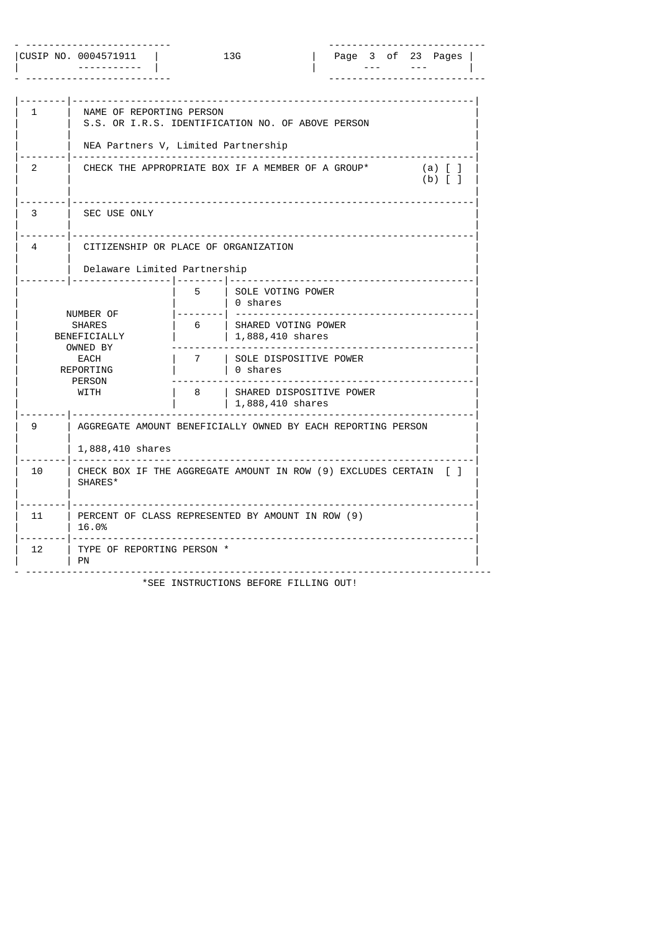|    | CUSIP NO. 0004571911                                                                                 | 13G                                               |                                                                                                                                                | Page 3 of 23 Pages     |
|----|------------------------------------------------------------------------------------------------------|---------------------------------------------------|------------------------------------------------------------------------------------------------------------------------------------------------|------------------------|
| 1  | NAME OF REPORTING PERSON                                                                             | .<br>NEA Partners V, Limited Partnership          | S.S. OR I.R.S. IDENTIFICATION NO. OF ABOVE PERSON                                                                                              |                        |
| 2  |                                                                                                      |                                                   | CHECK THE APPROPRIATE BOX IF A MEMBER OF A GROUP*                                                                                              | $(a)$ [ ]<br>$(b)$ [ ] |
| 3  | SEC USE ONLY                                                                                         |                                                   |                                                                                                                                                |                        |
| 4  | Delaware Limited Partnership                                                                         | CITIZENSHIP OR PLACE OF ORGANIZATION              |                                                                                                                                                |                        |
|    | NUMBER OF<br><b>SHARES</b><br>BENEFICIALLY<br>OWNED BY<br>EACH<br>REPORTING<br><b>PERSON</b><br>WITH | 5<br>0 shares<br>6<br>7<br>l 0 shares<br>8        | SOLE VOTING POWER<br>SHARED VOTING POWER<br>  1,888,410 shares<br>  SOLE DISPOSITIVE POWER<br>  SHARED DISPOSITIVE POWER<br>$1,888,410$ shares |                        |
| 9  | 1,888,410 shares                                                                                     |                                                   | AGGREGATE AMOUNT BENEFICIALLY OWNED BY EACH REPORTING PERSON                                                                                   |                        |
| 10 | SHARES*                                                                                              |                                                   | CHECK BOX IF THE AGGREGATE AMOUNT IN ROW (9) EXCLUDES CERTAIN [ ]                                                                              |                        |
| 11 | 16.0%                                                                                                | PERCENT OF CLASS REPRESENTED BY AMOUNT IN ROW (9) |                                                                                                                                                |                        |
| 12 | TYPE OF REPORTING PERSON *<br><b>PN</b>                                                              |                                                   |                                                                                                                                                |                        |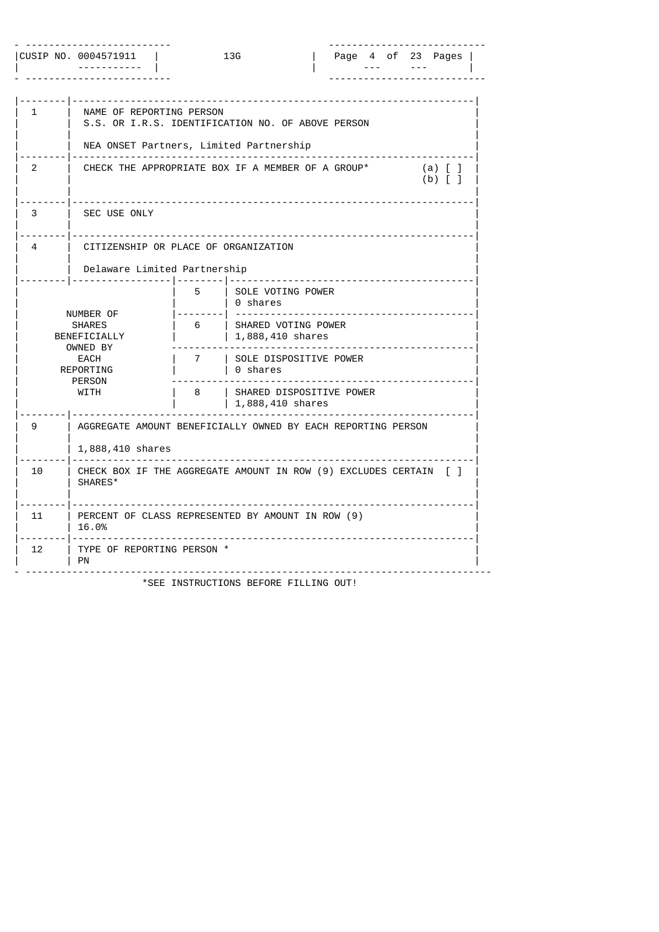|    | CUSIP NO. 0004571911<br>13G<br>Page 4 of 23 Pages                                                           |                  |                                                                                                                                                                                     |  |  |  |  |                                        |  |  |
|----|-------------------------------------------------------------------------------------------------------------|------------------|-------------------------------------------------------------------------------------------------------------------------------------------------------------------------------------|--|--|--|--|----------------------------------------|--|--|
| 1  | NAME OF REPORTING PERSON<br>NEA ONSET Partners, Limited Partnership                                         |                  | S.S. OR I.R.S. IDENTIFICATION NO. OF ABOVE PERSON                                                                                                                                   |  |  |  |  |                                        |  |  |
| 2  |                                                                                                             |                  | CHECK THE APPROPRIATE BOX IF A MEMBER OF A GROUP*                                                                                                                                   |  |  |  |  | $(a)$ $\lfloor$ $\rfloor$<br>$(b)$ [ ] |  |  |
| 3  | SEC USE ONLY                                                                                                |                  |                                                                                                                                                                                     |  |  |  |  |                                        |  |  |
| 4  | CITIZENSHIP OR PLACE OF ORGANIZATION<br>Delaware Limited Partnership                                        |                  |                                                                                                                                                                                     |  |  |  |  |                                        |  |  |
|    | NUMBER OF<br><b>SHARES</b><br>BENEFICIALLY<br>OWNED BY<br>EACH<br>REPORTING<br><b>PERSON</b><br><b>WITH</b> | 5<br>6<br>7<br>8 | SOLE VOTING POWER<br>∣ 0 shares<br>SHARED VOTING POWER<br>$  1,888,410$ shares<br>  SOLE DISPOSITIVE POWER<br>∣ 0 shares<br><b>I SHARED DISPOSITIVE POWER</b><br>  1,888,410 shares |  |  |  |  |                                        |  |  |
| 9  | 1,888,410 shares                                                                                            |                  | AGGREGATE AMOUNT BENEFICIALLY OWNED BY EACH REPORTING PERSON                                                                                                                        |  |  |  |  |                                        |  |  |
| 10 | SHARES*                                                                                                     |                  | CHECK BOX IF THE AGGREGATE AMOUNT IN ROW (9) EXCLUDES CERTAIN [ ]                                                                                                                   |  |  |  |  |                                        |  |  |
| 11 | 16.0%                                                                                                       |                  | PERCENT OF CLASS REPRESENTED BY AMOUNT IN ROW (9)                                                                                                                                   |  |  |  |  |                                        |  |  |
| 12 | TYPE OF REPORTING PERSON *<br><b>PN</b>                                                                     |                  |                                                                                                                                                                                     |  |  |  |  |                                        |  |  |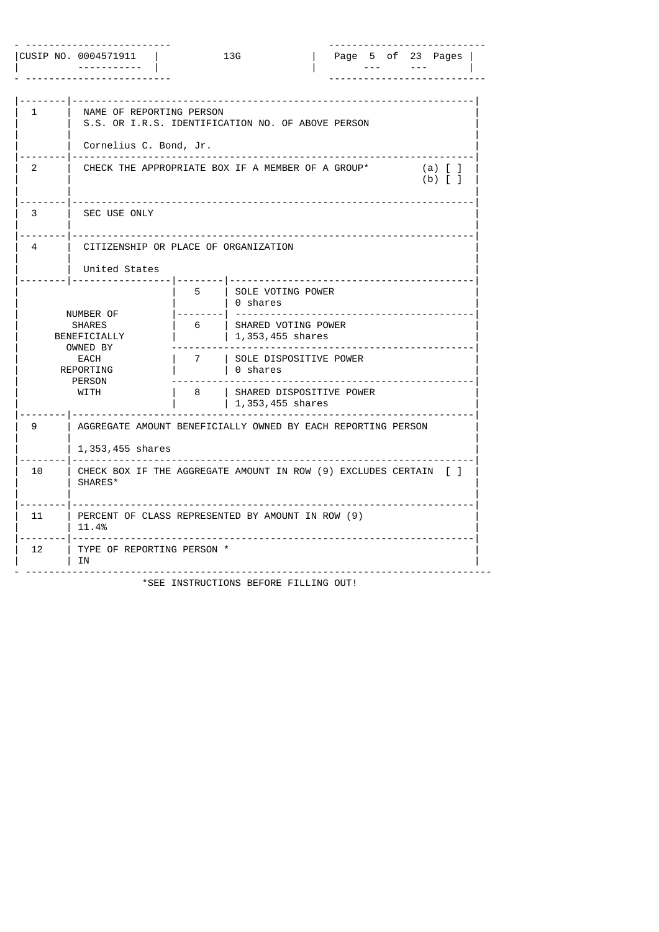|    | CUSIP NO. 0004571911                                                                                    |                  | 13G                                                                                                                                                                                   |                            |  | Page 5 of 23 Pages                    |  |
|----|---------------------------------------------------------------------------------------------------------|------------------|---------------------------------------------------------------------------------------------------------------------------------------------------------------------------------------|----------------------------|--|---------------------------------------|--|
| 1  | NAME OF REPORTING PERSON<br>S.S. OR I.R.S. IDENTIFICATION NO. OF ABOVE PERSON<br>Cornelius C. Bond, Jr. |                  |                                                                                                                                                                                       |                            |  |                                       |  |
| 2  | CHECK THE APPROPRIATE BOX IF A MEMBER OF A GROUP*                                                       |                  |                                                                                                                                                                                       |                            |  | $(a)$ $\lceil$ $\rfloor$<br>$(b)$ [ ] |  |
| 3  | SEC USE ONLY                                                                                            |                  |                                                                                                                                                                                       |                            |  |                                       |  |
| 4  | CITIZENSHIP OR PLACE OF ORGANIZATION<br>United States                                                   |                  |                                                                                                                                                                                       |                            |  |                                       |  |
|    | NUMBER OF<br><b>SHARES</b><br>BENEFICIALLY<br>OWNED BY<br>EACH<br>REPORTING<br><b>PERSON</b><br>WITH    | 5<br>6<br>7<br>8 | SOLE VOTING POWER<br>∣ 0 shares<br>SHARED VOTING POWER<br>$1, 353, 455$ shares<br>  SOLE DISPOSITIVE POWER<br>∣ 0 shares<br><b>I SHARED DISPOSITIVE POWER</b><br>$1, 353, 455$ shares | -------------------------- |  |                                       |  |
| 9  | AGGREGATE AMOUNT BENEFICIALLY OWNED BY EACH REPORTING PERSON<br>1,353,455 shares                        |                  |                                                                                                                                                                                       |                            |  |                                       |  |
| 10 | CHECK BOX IF THE AGGREGATE AMOUNT IN ROW (9) EXCLUDES CERTAIN [ ]<br>SHARES*                            |                  |                                                                                                                                                                                       |                            |  |                                       |  |
| 11 | PERCENT OF CLASS REPRESENTED BY AMOUNT IN ROW (9)<br>11.4%                                              |                  |                                                                                                                                                                                       |                            |  |                                       |  |
| 12 | TYPE OF REPORTING PERSON *<br>ΙN                                                                        |                  |                                                                                                                                                                                       |                            |  |                                       |  |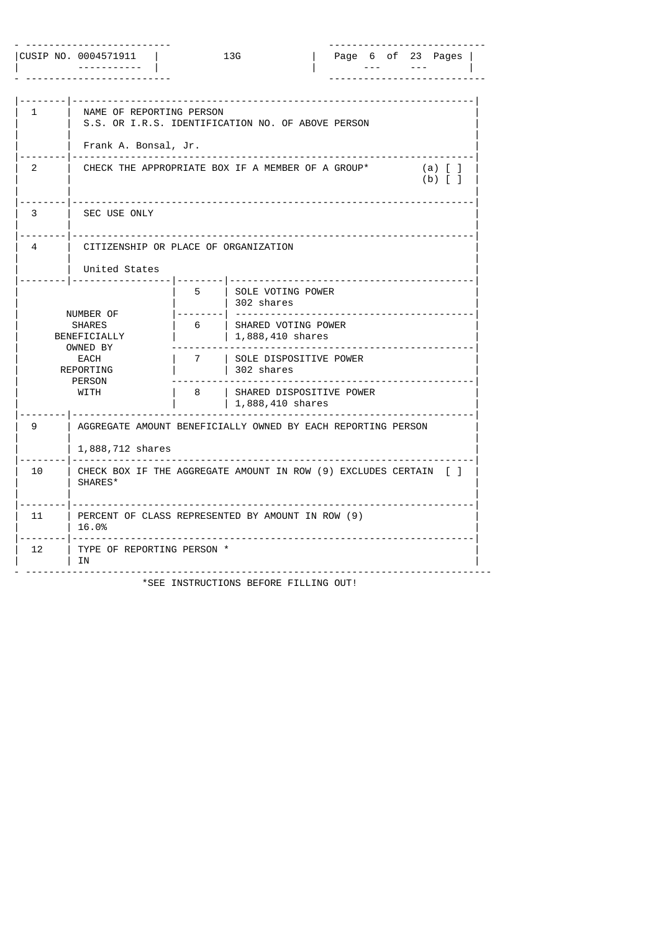|    | CUSIP NO. 0004571911                                                                                 |                  | 13G                                                                                                                                                                              |  |  | Page 6 of 23 Pages                                   |  |
|----|------------------------------------------------------------------------------------------------------|------------------|----------------------------------------------------------------------------------------------------------------------------------------------------------------------------------|--|--|------------------------------------------------------|--|
| 1  | NAME OF REPORTING PERSON<br>Frank A. Bonsal, Jr.                                                     |                  | S.S. OR I.R.S. IDENTIFICATION NO. OF ABOVE PERSON                                                                                                                                |  |  |                                                      |  |
| 2  |                                                                                                      |                  | CHECK THE APPROPRIATE BOX IF A MEMBER OF A GROUP*                                                                                                                                |  |  | $(a)$ $\lfloor$ $\rfloor$<br>$(b)$ $\lceil$ $\rceil$ |  |
| 3  | SEC USE ONLY                                                                                         |                  |                                                                                                                                                                                  |  |  |                                                      |  |
| 4  | CITIZENSHIP OR PLACE OF ORGANIZATION<br>United States                                                |                  |                                                                                                                                                                                  |  |  |                                                      |  |
|    | NUMBER OF<br><b>SHARES</b><br>BENEFICIALLY<br>OWNED BY<br>EACH<br>REPORTING<br><b>PERSON</b><br>WITH | 5<br>6<br>7<br>8 | SOLE VOTING POWER<br>  302 shares<br>  SHARED VOTING POWER<br>$1,888,410$ shares<br>  SOLE DISPOSITIVE POWER<br>  302 shares<br>  SHARED DISPOSITIVE POWER<br>$1,888,410$ shares |  |  |                                                      |  |
| 9  | 1,888,712 shares                                                                                     |                  | AGGREGATE AMOUNT BENEFICIALLY OWNED BY EACH REPORTING PERSON                                                                                                                     |  |  |                                                      |  |
| 10 | SHARES*                                                                                              |                  | CHECK BOX IF THE AGGREGATE AMOUNT IN ROW (9) EXCLUDES CERTAIN [ ]                                                                                                                |  |  |                                                      |  |
| 11 | 16.0%                                                                                                |                  | PERCENT OF CLASS REPRESENTED BY AMOUNT IN ROW (9)                                                                                                                                |  |  |                                                      |  |
| 12 | TYPE OF REPORTING PERSON *<br>ΙN                                                                     |                  |                                                                                                                                                                                  |  |  |                                                      |  |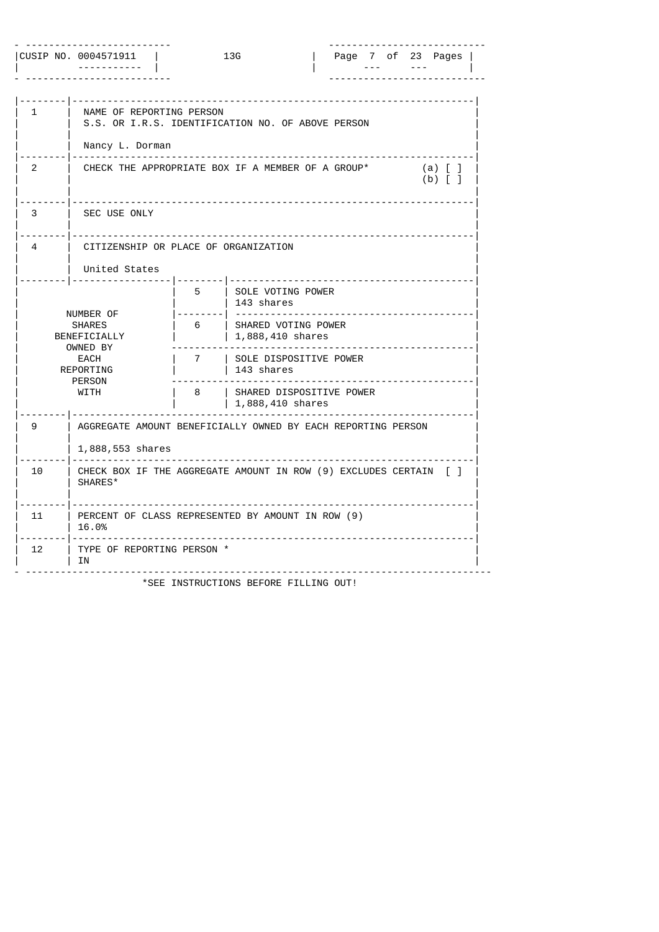|    | CUSIP NO. 0004571911                                                                                        |                  | 13G                                                                                                                                                                                     |   |  | Page 7 of 23 Pages                     |  |
|----|-------------------------------------------------------------------------------------------------------------|------------------|-----------------------------------------------------------------------------------------------------------------------------------------------------------------------------------------|---|--|----------------------------------------|--|
| 1  | NAME OF REPORTING PERSON<br>S.S. OR I.R.S. IDENTIFICATION NO. OF ABOVE PERSON<br>Nancy L. Dorman            |                  |                                                                                                                                                                                         |   |  |                                        |  |
| 2  | CHECK THE APPROPRIATE BOX IF A MEMBER OF A GROUP*                                                           |                  |                                                                                                                                                                                         |   |  | $(a)$ $\lfloor$ $\rfloor$<br>$(b)$ [ ] |  |
| 3  | SEC USE ONLY                                                                                                |                  |                                                                                                                                                                                         |   |  |                                        |  |
| 4  | CITIZENSHIP OR PLACE OF ORGANIZATION<br>United States                                                       |                  |                                                                                                                                                                                         |   |  |                                        |  |
|    | NUMBER OF<br><b>SHARES</b><br>BENEFICIALLY<br>OWNED BY<br>EACH<br>REPORTING<br><b>PERSON</b><br><b>WITH</b> | 5<br>6<br>7<br>8 | SOLE VOTING POWER<br>  143 shares<br>  SHARED VOTING POWER<br>$1,888,410$ shares<br>  SOLE DISPOSITIVE POWER<br>  143 shares<br><b>I SHARED DISPOSITIVE POWER</b><br>  1,888,410 shares | . |  |                                        |  |
| 9  | AGGREGATE AMOUNT BENEFICIALLY OWNED BY EACH REPORTING PERSON<br>1,888,553 shares                            |                  |                                                                                                                                                                                         |   |  |                                        |  |
| 10 | CHECK BOX IF THE AGGREGATE AMOUNT IN ROW (9) EXCLUDES CERTAIN [ ]<br>SHARES*                                |                  |                                                                                                                                                                                         |   |  |                                        |  |
| 11 | PERCENT OF CLASS REPRESENTED BY AMOUNT IN ROW (9)<br>16.0%                                                  |                  |                                                                                                                                                                                         |   |  |                                        |  |
| 12 | TYPE OF REPORTING PERSON *<br>ΙN                                                                            |                  |                                                                                                                                                                                         |   |  |                                        |  |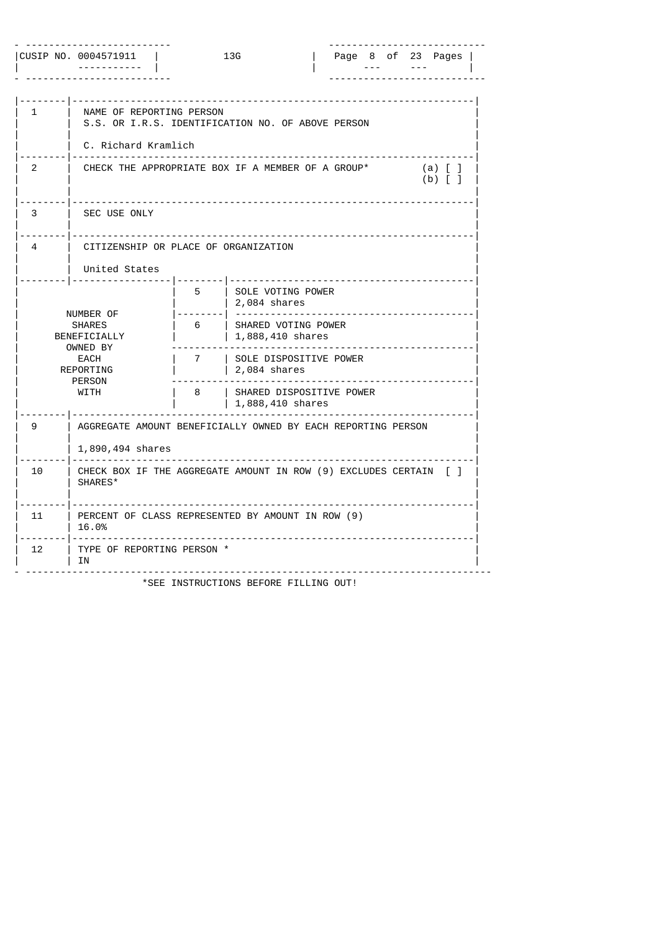|    | CUSIP NO. 0004571911                                                                                 |             | 13G                                                                                                                          |  |  | Page 8 of 23 Pages                                   |  |
|----|------------------------------------------------------------------------------------------------------|-------------|------------------------------------------------------------------------------------------------------------------------------|--|--|------------------------------------------------------|--|
| 1  | NAME OF REPORTING PERSON<br>S.S. OR I.R.S. IDENTIFICATION NO. OF ABOVE PERSON<br>C. Richard Kramlich |             |                                                                                                                              |  |  |                                                      |  |
| 2  | CHECK THE APPROPRIATE BOX IF A MEMBER OF A GROUP*                                                    |             |                                                                                                                              |  |  | $(a)$ $\lfloor$ $\rfloor$<br>$(b)$ $\lceil$ $\rceil$ |  |
| 3  | SEC USE ONLY                                                                                         |             |                                                                                                                              |  |  |                                                      |  |
| 4  | CITIZENSHIP OR PLACE OF ORGANIZATION<br>United States                                                |             |                                                                                                                              |  |  |                                                      |  |
|    | NUMBER OF<br><b>SHARES</b><br>BENEFICIALLY<br>OWNED BY<br>EACH<br>REPORTING<br><b>PERSON</b>         | 5<br>6<br>7 | SOLE VOTING POWER<br>2,084 shares<br>SHARED VOTING POWER<br>$1,888,410$ shares<br>  SOLE DISPOSITIVE POWER<br>  2,084 shares |  |  |                                                      |  |
|    | <b>WITH</b>                                                                                          | 8           | <b>I SHARED DISPOSITIVE POWER</b><br>  1,888,410 shares                                                                      |  |  |                                                      |  |
| 9  | AGGREGATE AMOUNT BENEFICIALLY OWNED BY EACH REPORTING PERSON<br>1,890,494 shares                     |             |                                                                                                                              |  |  |                                                      |  |
| 10 | CHECK BOX IF THE AGGREGATE AMOUNT IN ROW (9) EXCLUDES CERTAIN [ ]<br>SHARES*                         |             |                                                                                                                              |  |  |                                                      |  |
| 11 | PERCENT OF CLASS REPRESENTED BY AMOUNT IN ROW (9)<br>16.0%                                           |             |                                                                                                                              |  |  |                                                      |  |
| 12 | TYPE OF REPORTING PERSON *<br>ΙN                                                                     |             |                                                                                                                              |  |  |                                                      |  |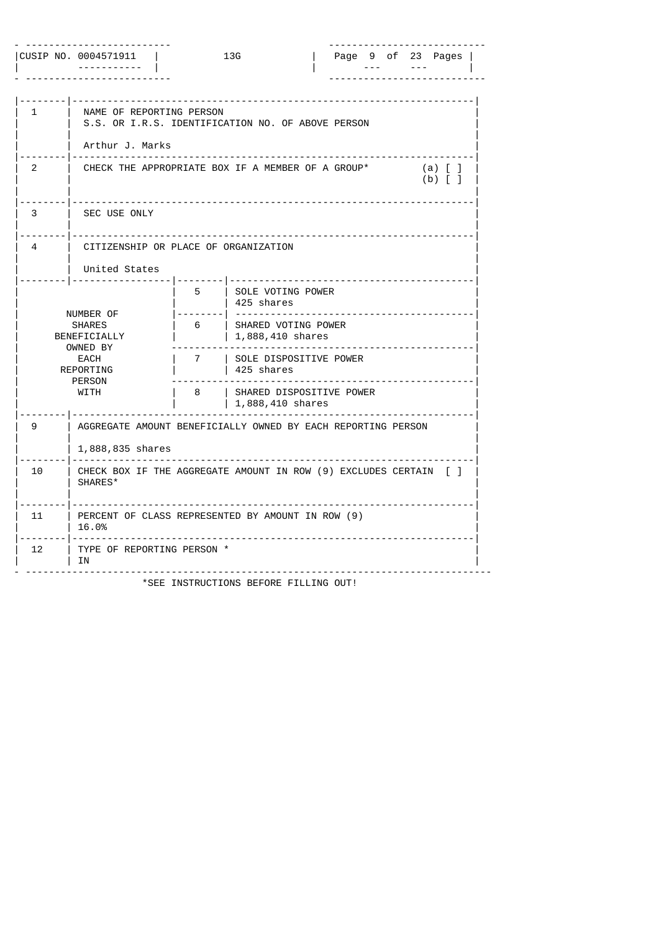|    | CUSIP NO. 0004571911<br>13G<br>Page 9 of 23 Pages                                                           |                  |                                                                                                                                                                                       |  |  |  |  |  |                                        |  |  |
|----|-------------------------------------------------------------------------------------------------------------|------------------|---------------------------------------------------------------------------------------------------------------------------------------------------------------------------------------|--|--|--|--|--|----------------------------------------|--|--|
| 1  | NAME OF REPORTING PERSON<br>S.S. OR I.R.S. IDENTIFICATION NO. OF ABOVE PERSON<br>Arthur J. Marks            |                  |                                                                                                                                                                                       |  |  |  |  |  |                                        |  |  |
| 2  | CHECK THE APPROPRIATE BOX IF A MEMBER OF A GROUP*                                                           |                  |                                                                                                                                                                                       |  |  |  |  |  | $(a)$ $\lfloor$ $\rfloor$<br>$(b)$ [ ] |  |  |
| 3  | SEC USE ONLY                                                                                                |                  |                                                                                                                                                                                       |  |  |  |  |  |                                        |  |  |
| 4  | CITIZENSHIP OR PLACE OF ORGANIZATION<br>United States                                                       |                  |                                                                                                                                                                                       |  |  |  |  |  |                                        |  |  |
|    | NUMBER OF<br><b>SHARES</b><br>BENEFICIALLY<br>OWNED BY<br>EACH<br>REPORTING<br><b>PERSON</b><br><b>WITH</b> | 5<br>6<br>7<br>8 | SOLE VOTING POWER<br>425 shares<br>  SHARED VOTING POWER<br>  1,888,410 shares<br>  SOLE DISPOSITIVE POWER<br>  425 shares<br><b>I SHARED DISPOSITIVE POWER</b><br>  1,888,410 shares |  |  |  |  |  |                                        |  |  |
| 9  | AGGREGATE AMOUNT BENEFICIALLY OWNED BY EACH REPORTING PERSON<br>1,888,835 shares                            |                  |                                                                                                                                                                                       |  |  |  |  |  |                                        |  |  |
| 10 | CHECK BOX IF THE AGGREGATE AMOUNT IN ROW (9) EXCLUDES CERTAIN [ ]<br>SHARES*                                |                  |                                                                                                                                                                                       |  |  |  |  |  |                                        |  |  |
| 11 | PERCENT OF CLASS REPRESENTED BY AMOUNT IN ROW (9)<br>16.0%                                                  |                  |                                                                                                                                                                                       |  |  |  |  |  |                                        |  |  |
| 12 | TYPE OF REPORTING PERSON *<br>ΙN                                                                            |                  |                                                                                                                                                                                       |  |  |  |  |  |                                        |  |  |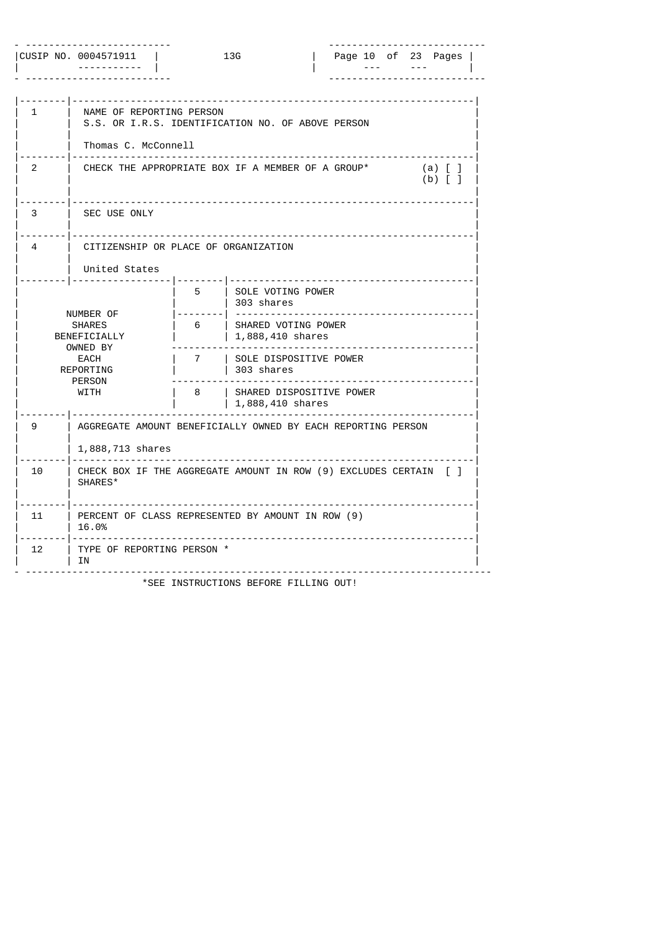|    | CUSIP NO. 0004571911                                                                                 |                  | 13G                                                                                                                                                        |                            |  | Page 10 of 23 Pages                    |  |
|----|------------------------------------------------------------------------------------------------------|------------------|------------------------------------------------------------------------------------------------------------------------------------------------------------|----------------------------|--|----------------------------------------|--|
| 1  | NAME OF REPORTING PERSON<br>Thomas C. McConnell                                                      |                  | S.S. OR I.R.S. IDENTIFICATION NO. OF ABOVE PERSON                                                                                                          |                            |  |                                        |  |
| 2  |                                                                                                      |                  | CHECK THE APPROPRIATE BOX IF A MEMBER OF A GROUP*                                                                                                          |                            |  | $(a)$ $\lfloor$ $\rfloor$<br>$(b)$ [ ] |  |
| 3  | SEC USE ONLY                                                                                         |                  |                                                                                                                                                            |                            |  |                                        |  |
| 4  | CITIZENSHIP OR PLACE OF ORGANIZATION<br>United States                                                |                  |                                                                                                                                                            |                            |  |                                        |  |
|    | NUMBER OF<br><b>SHARES</b><br>BENEFICIALLY<br>OWNED BY<br>EACH<br>REPORTING<br><b>PERSON</b><br>WITH | 5<br>6<br>7<br>8 | SOLE VOTING POWER<br>  303 shares<br>  SHARED VOTING POWER<br>$1,888,410$ shares<br>  SOLE DISPOSITIVE POWER<br>  303 shares<br>I SHARED DISPOSITIVE POWER | -------------------------- |  |                                        |  |
| 9  | 1,888,713 shares                                                                                     |                  | $1,888,410$ shares<br>AGGREGATE AMOUNT BENEFICIALLY OWNED BY EACH REPORTING PERSON                                                                         |                            |  |                                        |  |
| 10 | SHARES*                                                                                              |                  | CHECK BOX IF THE AGGREGATE AMOUNT IN ROW (9) EXCLUDES CERTAIN [ ]                                                                                          |                            |  |                                        |  |
| 11 | 16.0%                                                                                                |                  | PERCENT OF CLASS REPRESENTED BY AMOUNT IN ROW (9)                                                                                                          |                            |  |                                        |  |
| 12 | TYPE OF REPORTING PERSON *<br>ΙN                                                                     |                  |                                                                                                                                                            |                            |  |                                        |  |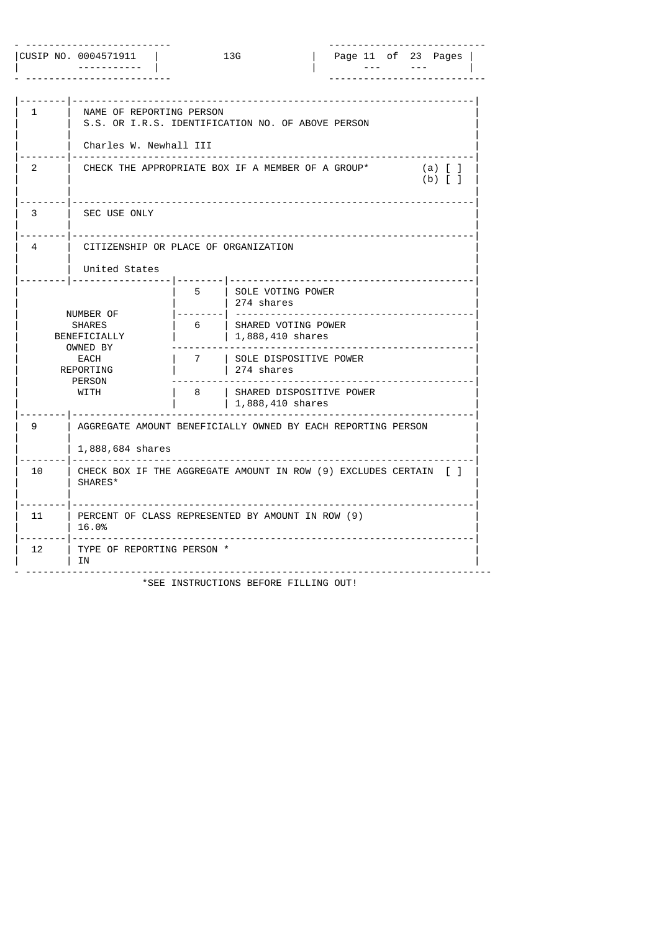|    | CUSIP NO. 0004571911                                                                                 |                  | 13G                                                                                                                                                                              | Page 11 of 23 Pages        |  |                                                      |  |
|----|------------------------------------------------------------------------------------------------------|------------------|----------------------------------------------------------------------------------------------------------------------------------------------------------------------------------|----------------------------|--|------------------------------------------------------|--|
| 1  | NAME OF REPORTING PERSON<br>Charles W. Newhall III                                                   |                  | S.S. OR I.R.S. IDENTIFICATION NO. OF ABOVE PERSON                                                                                                                                |                            |  |                                                      |  |
| 2  |                                                                                                      |                  | CHECK THE APPROPRIATE BOX IF A MEMBER OF A GROUP*                                                                                                                                |                            |  | $(a)$ $\lfloor$ $\rfloor$<br>$(b)$ $\lceil$ $\rceil$ |  |
| 3  | SEC USE ONLY                                                                                         |                  |                                                                                                                                                                                  |                            |  |                                                      |  |
| 4  | CITIZENSHIP OR PLACE OF ORGANIZATION<br>United States                                                |                  |                                                                                                                                                                                  |                            |  |                                                      |  |
|    | NUMBER OF<br><b>SHARES</b><br>BENEFICIALLY<br>OWNED BY<br>EACH<br>REPORTING<br><b>PERSON</b><br>WITH | 5<br>6<br>7<br>8 | SOLE VOTING POWER<br>  274 shares<br>  SHARED VOTING POWER<br>$1,888,410$ shares<br>  SOLE DISPOSITIVE POWER<br>  274 shares<br>I SHARED DISPOSITIVE POWER<br>$1,888,410$ shares | -------------------------- |  |                                                      |  |
| 9  | 1,888,684 shares                                                                                     |                  | AGGREGATE AMOUNT BENEFICIALLY OWNED BY EACH REPORTING PERSON                                                                                                                     |                            |  |                                                      |  |
| 10 | SHARES*                                                                                              |                  | CHECK BOX IF THE AGGREGATE AMOUNT IN ROW (9) EXCLUDES CERTAIN [ ]                                                                                                                |                            |  |                                                      |  |
| 11 | 16.0%                                                                                                |                  | PERCENT OF CLASS REPRESENTED BY AMOUNT IN ROW (9)                                                                                                                                |                            |  |                                                      |  |
| 12 | TYPE OF REPORTING PERSON *<br>ΙN                                                                     |                  |                                                                                                                                                                                  |                            |  |                                                      |  |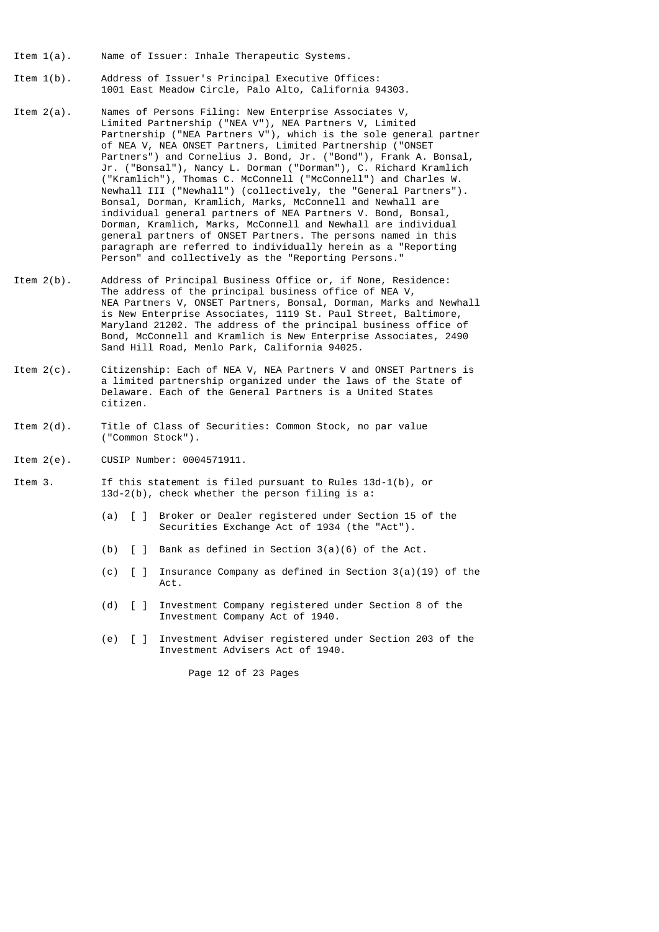- Item 1(a). Name of Issuer: Inhale Therapeutic Systems.
- Item 1(b). Address of Issuer's Principal Executive Offices: 1001 East Meadow Circle, Palo Alto, California 94303.
- Item 2(a). Names of Persons Filing: New Enterprise Associates V, Limited Partnership ("NEA V"), NEA Partners V, Limited Partnership ("NEA Partners V"), which is the sole general partner of NEA V, NEA ONSET Partners, Limited Partnership ("ONSET Partners") and Cornelius J. Bond, Jr. ("Bond"), Frank A. Bonsal, Jr. ("Bonsal"), Nancy L. Dorman ("Dorman"), C. Richard Kramlich ("Kramlich"), Thomas C. McConnell ("McConnell") and Charles W. Newhall III ("Newhall") (collectively, the "General Partners"). Bonsal, Dorman, Kramlich, Marks, McConnell and Newhall are individual general partners of NEA Partners V. Bond, Bonsal, Dorman, Kramlich, Marks, McConnell and Newhall are individual general partners of ONSET Partners. The persons named in this paragraph are referred to individually herein as a "Reporting Person" and collectively as the "Reporting Persons."
- Item 2(b). Address of Principal Business Office or, if None, Residence: The address of the principal business office of NEA V, NEA Partners V, ONSET Partners, Bonsal, Dorman, Marks and Newhall is New Enterprise Associates, 1119 St. Paul Street, Baltimore, Maryland 21202. The address of the principal business office of Bond, McConnell and Kramlich is New Enterprise Associates, 2490 Sand Hill Road, Menlo Park, California 94025.
- Item 2(c). Citizenship: Each of NEA V, NEA Partners V and ONSET Partners is a limited partnership organized under the laws of the State of Delaware. Each of the General Partners is a United States citizen.
- Item 2(d). Title of Class of Securities: Common Stock, no par value ("Common Stock").
- Item 2(e). CUSIP Number: 0004571911.
- Item 3. If this statement is filed pursuant to Rules 13d-1(b), or 13d-2(b), check whether the person filing is a:
	- (a) [ ] Broker or Dealer registered under Section 15 of the Securities Exchange Act of 1934 (the "Act").
	- (b) [ ] Bank as defined in Section 3(a)(6) of the Act.
- (c) [ ] Insurance Company as defined in Section 3(a)(19) of the Act.
	- (d) [ ] Investment Company registered under Section 8 of the Investment Company Act of 1940.
	- (e) [ ] Investment Adviser registered under Section 203 of the Investment Advisers Act of 1940.

Page 12 of 23 Pages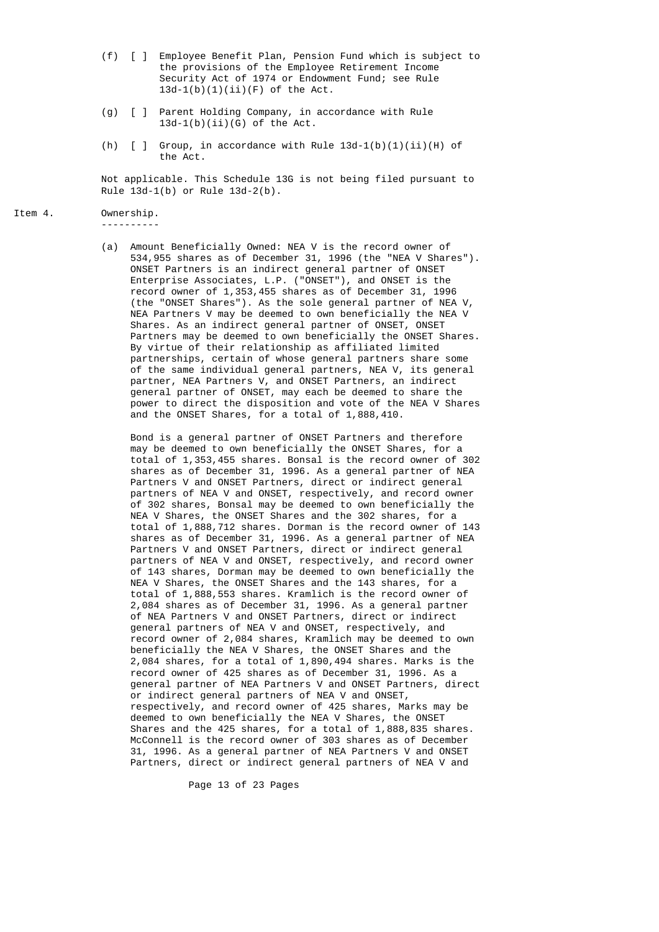- (f) [ ] Employee Benefit Plan, Pension Fund which is subject to the provisions of the Employee Retirement Income Security Act of 1974 or Endowment Fund; see Rule  $13d-1(b)(1)(ii)(F)$  of the Act.
- (g) [ ] Parent Holding Company, in accordance with Rule  $13d-1(b)(ii)(G)$  of the Act.
- (h)  $[ ]$  Group, in accordance with Rule 13d-1(b)(1)(ii)(H) of the Act.

 Not applicable. This Schedule 13G is not being filed pursuant to Rule 13d-1(b) or Rule 13d-2(b).

Item 4. Ownership. ----------

 (a) Amount Beneficially Owned: NEA V is the record owner of 534,955 shares as of December 31, 1996 (the "NEA V Shares"). ONSET Partners is an indirect general partner of ONSET Enterprise Associates, L.P. ("ONSET"), and ONSET is the record owner of 1,353,455 shares as of December 31, 1996 (the "ONSET Shares"). As the sole general partner of NEA V, NEA Partners V may be deemed to own beneficially the NEA V Shares. As an indirect general partner of ONSET, ONSET Partners may be deemed to own beneficially the ONSET Shares. By virtue of their relationship as affiliated limited partnerships, certain of whose general partners share some of the same individual general partners, NEA V, its general partner, NEA Partners V, and ONSET Partners, an indirect general partner of ONSET, may each be deemed to share the power to direct the disposition and vote of the NEA V Shares and the ONSET Shares, for a total of 1,888,410.

> Bond is a general partner of ONSET Partners and therefore may be deemed to own beneficially the ONSET Shares, for a total of 1,353,455 shares. Bonsal is the record owner of 302 shares as of December 31, 1996. As a general partner of NEA Partners V and ONSET Partners, direct or indirect general partners of NEA V and ONSET, respectively, and record owner of 302 shares, Bonsal may be deemed to own beneficially the NEA V Shares, the ONSET Shares and the 302 shares, for a total of 1,888,712 shares. Dorman is the record owner of 143 shares as of December 31, 1996. As a general partner of NEA Partners V and ONSET Partners, direct or indirect general partners of NEA V and ONSET, respectively, and record owner of 143 shares, Dorman may be deemed to own beneficially the NEA V Shares, the ONSET Shares and the 143 shares, for a total of 1,888,553 shares. Kramlich is the record owner of 2,084 shares as of December 31, 1996. As a general partner of NEA Partners V and ONSET Partners, direct or indirect general partners of NEA V and ONSET, respectively, and record owner of 2,084 shares, Kramlich may be deemed to own beneficially the NEA V Shares, the ONSET Shares and the 2,084 shares, for a total of 1,890,494 shares. Marks is the record owner of 425 shares as of December 31, 1996. As a general partner of NEA Partners V and ONSET Partners, direct or indirect general partners of NEA V and ONSET, respectively, and record owner of 425 shares, Marks may be deemed to own beneficially the NEA V Shares, the ONSET Shares and the 425 shares, for a total of 1,888,835 shares. McConnell is the record owner of 303 shares as of December 31, 1996. As a general partner of NEA Partners V and ONSET Partners, direct or indirect general partners of NEA V and

> > Page 13 of 23 Pages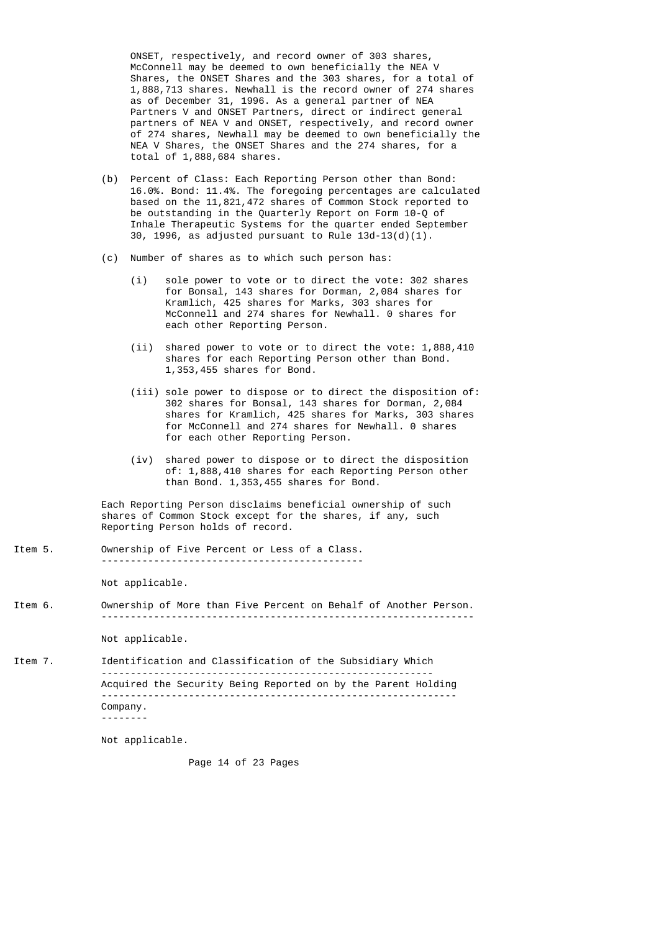ONSET, respectively, and record owner of 303 shares, McConnell may be deemed to own beneficially the NEA V Shares, the ONSET Shares and the 303 shares, for a total of 1,888,713 shares. Newhall is the record owner of 274 shares as of December 31, 1996. As a general partner of NEA Partners V and ONSET Partners, direct or indirect general partners of NEA V and ONSET, respectively, and record owner of 274 shares, Newhall may be deemed to own beneficially the NEA V Shares, the ONSET Shares and the 274 shares, for a total of 1,888,684 shares.

- (b) Percent of Class: Each Reporting Person other than Bond: 16.0%. Bond: 11.4%. The foregoing percentages are calculated based on the 11,821,472 shares of Common Stock reported to be outstanding in the Quarterly Report on Form 10-Q of Inhale Therapeutic Systems for the quarter ended September 30, 1996, as adjusted pursuant to Rule  $13d-13(d)(1)$ .
- (c) Number of shares as to which such person has:
	- (i) sole power to vote or to direct the vote: 302 shares for Bonsal, 143 shares for Dorman, 2,084 shares for Kramlich, 425 shares for Marks, 303 shares for McConnell and 274 shares for Newhall. 0 shares for each other Reporting Person.
	- (ii) shared power to vote or to direct the vote: 1,888,410 shares for each Reporting Person other than Bond. 1,353,455 shares for Bond.
	- (iii) sole power to dispose or to direct the disposition of: 302 shares for Bonsal, 143 shares for Dorman, 2,084 shares for Kramlich, 425 shares for Marks, 303 shares for McConnell and 274 shares for Newhall. 0 shares for each other Reporting Person.
	- (iv) shared power to dispose or to direct the disposition of: 1,888,410 shares for each Reporting Person other than Bond. 1,353,455 shares for Bond.

 Each Reporting Person disclaims beneficial ownership of such shares of Common Stock except for the shares, if any, such Reporting Person holds of record.

Item 5. Ownership of Five Percent or Less of a Class. ---------------------------------------------

Not applicable.

Item 6. Ownership of More than Five Percent on Behalf of Another Person. ----------------------------------------------------------------

Not applicable.

Item 7. Identification and Classification of the Subsidiary Which --------------------------------------------------------- Acquired the Security Being Reported on by the Parent Holding ------------------------------------------------------------- Company. --------

Not applicable.

Page 14 of 23 Pages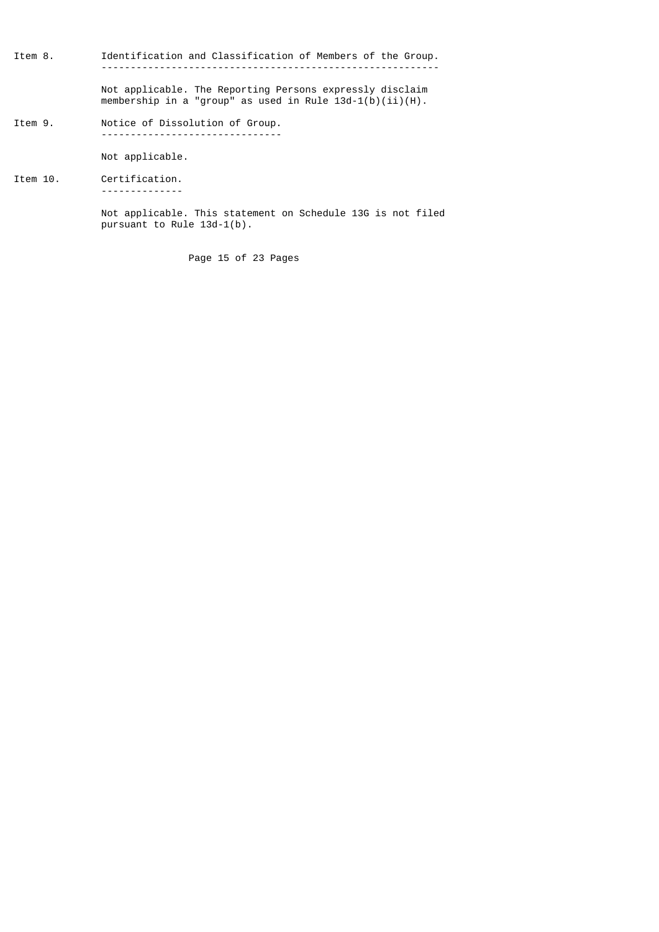Item 8. Identification and Classification of Members of the Group. ----------------------------------------------------------

> Not applicable. The Reporting Persons expressly disclaim membership in a "group" as used in Rule 13d-1(b)(ii)(H).

Item 9. Notice of Dissolution of Group. -------------------------------

Not applicable.

Item 10. Certification. --------------

> Not applicable. This statement on Schedule 13G is not filed pursuant to Rule 13d-1(b).

> > Page 15 of 23 Pages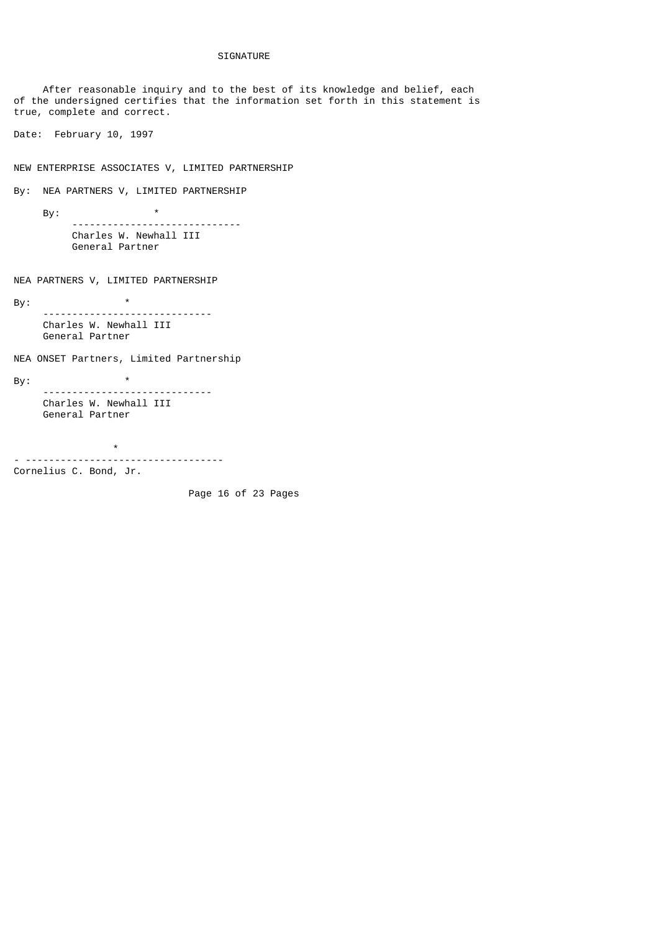## SIGNATURE

 After reasonable inquiry and to the best of its knowledge and belief, each of the undersigned certifies that the information set forth in this statement is true, complete and correct. Date: February 10, 1997 NEW ENTERPRISE ASSOCIATES V, LIMITED PARTNERSHIP By: NEA PARTNERS V, LIMITED PARTNERSHIP By:  $*$  ----------------------------- Charles W. Newhall III General Partner NEA PARTNERS V, LIMITED PARTNERSHIP By:  $*$  ----------------------------- Charles W. Newhall III General Partner NEA ONSET Partners, Limited Partnership  $\mathsf{By:}$  \* ----------------------------- Charles W. Newhall III General Partner \* - ----------------------------------

Cornelius C. Bond, Jr.

Page 16 of 23 Pages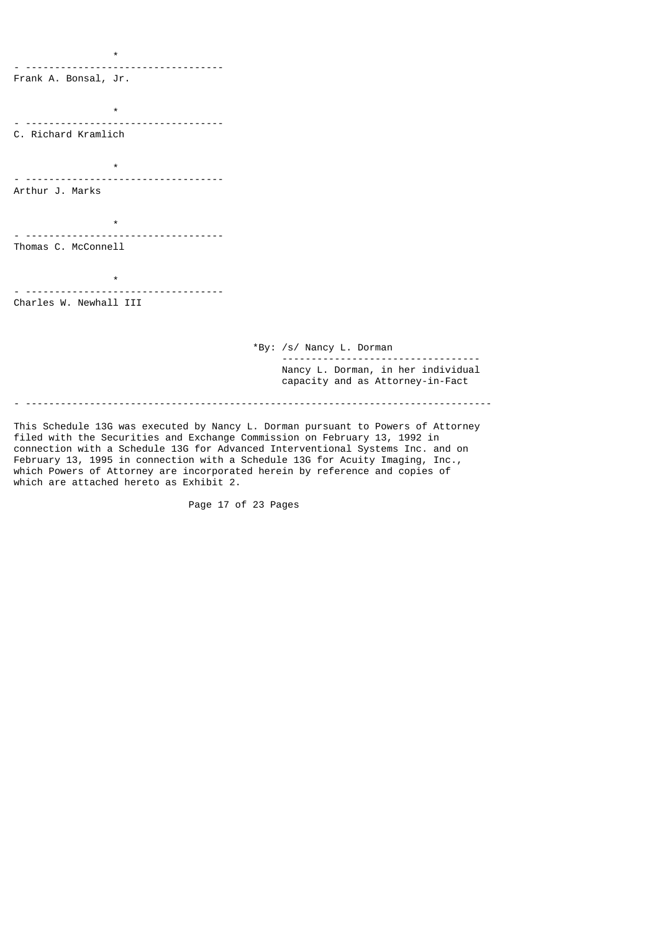\* - ---------------------------------- Frank A. Bonsal, Jr.  $\star$ - ---------------------------------- C. Richard Kramlich \* - ---------------------------------- Arthur J. Marks \* - ---------------------------------- Thomas C. McConnell \* - ---------------------------------- Charles W. Newhall III \*By: /s/ Nancy L. Dorman ---------------------------------- Nancy L. Dorman, in her individual capacity and as Attorney-in-Fact - --------------------------------------------------------------------------------

This Schedule 13G was executed by Nancy L. Dorman pursuant to Powers of Attorney filed with the Securities and Exchange Commission on February 13, 1992 in connection with a Schedule 13G for Advanced Interventional Systems Inc. and on February 13, 1995 in connection with a Schedule 13G for Acuity Imaging, Inc., which Powers of Attorney are incorporated herein by reference and copies of which are attached hereto as Exhibit 2.

Page 17 of 23 Pages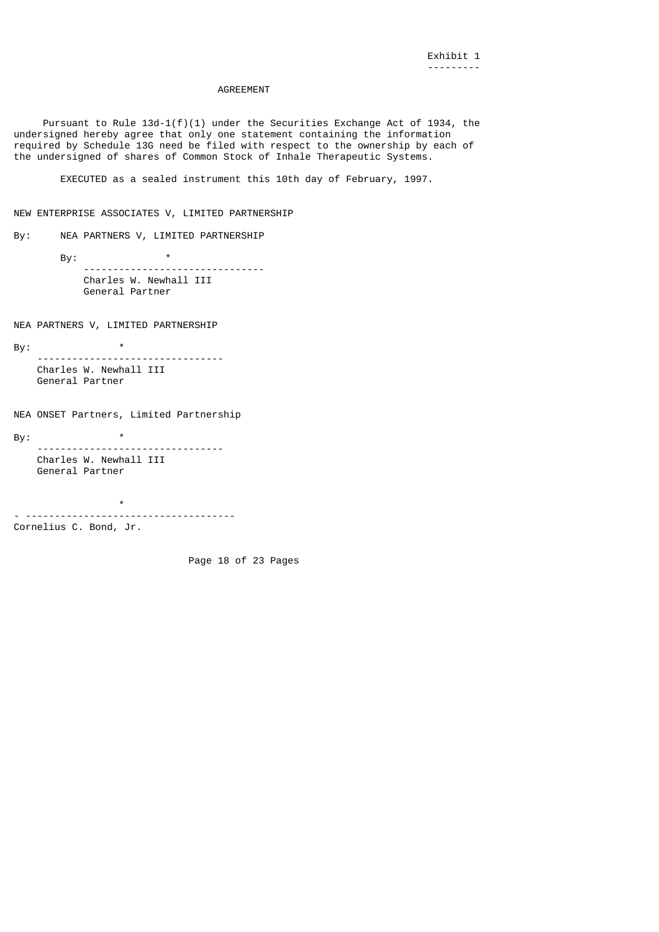## AGREEMENT

Pursuant to Rule  $13d-1(f)(1)$  under the Securities Exchange Act of 1934, the undersigned hereby agree that only one statement containing the information required by Schedule 13G need be filed with respect to the ownership by each of the undersigned of shares of Common Stock of Inhale Therapeutic Systems.

EXECUTED as a sealed instrument this 10th day of February, 1997.

NEW ENTERPRISE ASSOCIATES V, LIMITED PARTNERSHIP

By: NEA PARTNERS V, LIMITED PARTNERSHIP

By:  $*$  ------------------------------- Charles W. Newhall III General Partner

NEA PARTNERS V, LIMITED PARTNERSHIP

By: \*

 -------------------------------- Charles W. Newhall III General Partner

NEA ONSET Partners, Limited Partnership

By:  $\qquad \qquad ^{\star}$  -------------------------------- Charles W. Newhall III General Partner

 \* - ------------------------------------ Cornelius C. Bond, Jr.

Page 18 of 23 Pages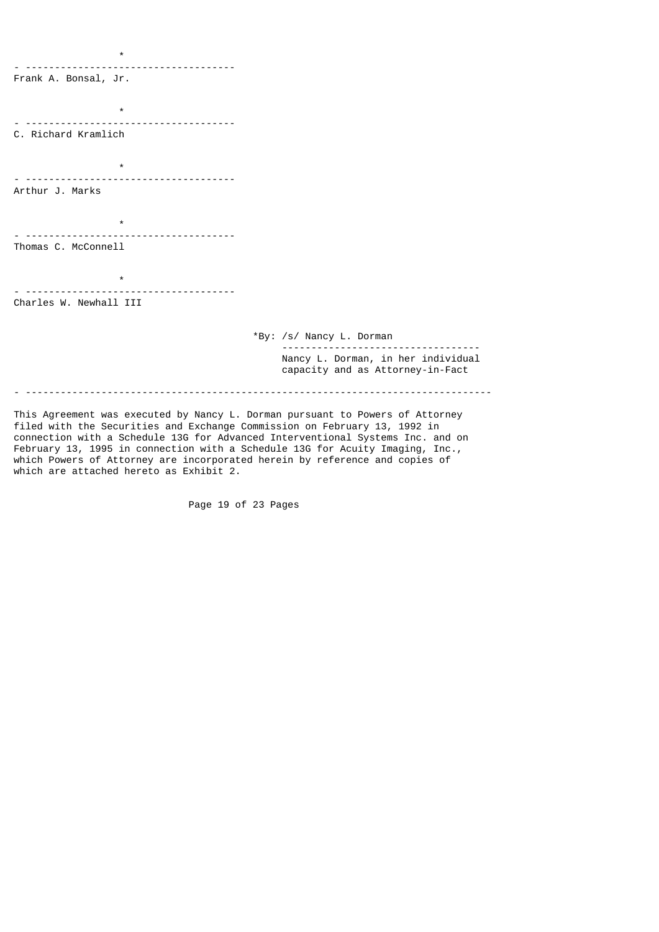$\star$ - ------------------------------------ Frank A. Bonsal, Jr.  $\pmb{\star}$ - ------------------------------------ C. Richard Kramlich \* - ------------------------------------ Arthur J. Marks \* - ------------------------------------ Thomas C. McConnell \* - ------------------------------------ Charles W. Newhall III \*By: /s/ Nancy L. Dorman ---------------------------------- Nancy L. Dorman, in her individual capacity and as Attorney-in-Fact - --------------------------------------------------------------------------------

This Agreement was executed by Nancy L. Dorman pursuant to Powers of Attorney filed with the Securities and Exchange Commission on February 13, 1992 in connection with a Schedule 13G for Advanced Interventional Systems Inc. and on February 13, 1995 in connection with a Schedule 13G for Acuity Imaging, Inc., which Powers of Attorney are incorporated herein by reference and copies of which are attached hereto as Exhibit 2.

Page 19 of 23 Pages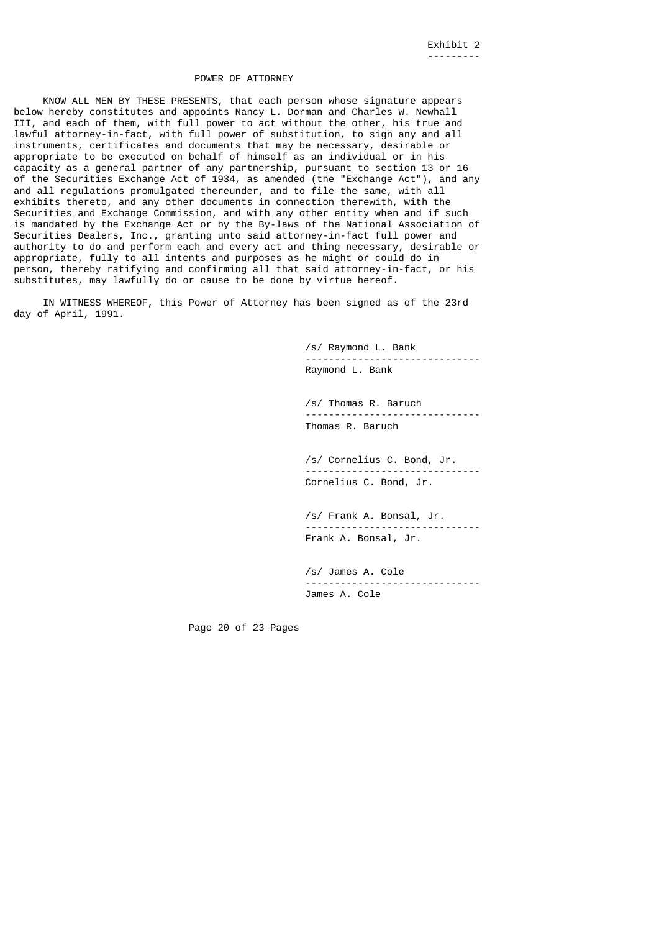## POWER OF ATTORNEY

 KNOW ALL MEN BY THESE PRESENTS, that each person whose signature appears below hereby constitutes and appoints Nancy L. Dorman and Charles W. Newhall III, and each of them, with full power to act without the other, his true and lawful attorney-in-fact, with full power of substitution, to sign any and all instruments, certificates and documents that may be necessary, desirable or appropriate to be executed on behalf of himself as an individual or in his capacity as a general partner of any partnership, pursuant to section 13 or 16 of the Securities Exchange Act of 1934, as amended (the "Exchange Act"), and any and all regulations promulgated thereunder, and to file the same, with all exhibits thereto, and any other documents in connection therewith, with the Securities and Exchange Commission, and with any other entity when and if such is mandated by the Exchange Act or by the By-laws of the National Association of Securities Dealers, Inc., granting unto said attorney-in-fact full power and authority to do and perform each and every act and thing necessary, desirable or appropriate, fully to all intents and purposes as he might or could do in person, thereby ratifying and confirming all that said attorney-in-fact, or his substitutes, may lawfully do or cause to be done by virtue hereof.

 IN WITNESS WHEREOF, this Power of Attorney has been signed as of the 23rd day of April, 1991.

> /s/ Raymond L. Bank ------------------------------ Raymond L. Bank

> /s/ Thomas R. Baruch ------------------------------ Thomas R. Baruch

> /s/ Cornelius C. Bond, Jr. ------------------------------ Cornelius C. Bond, Jr.

> /s/ Frank A. Bonsal, Jr. ------------------------------ Frank A. Bonsal, Jr.

> /s/ James A. Cole ------------------------------ James A. Cole

Page 20 of 23 Pages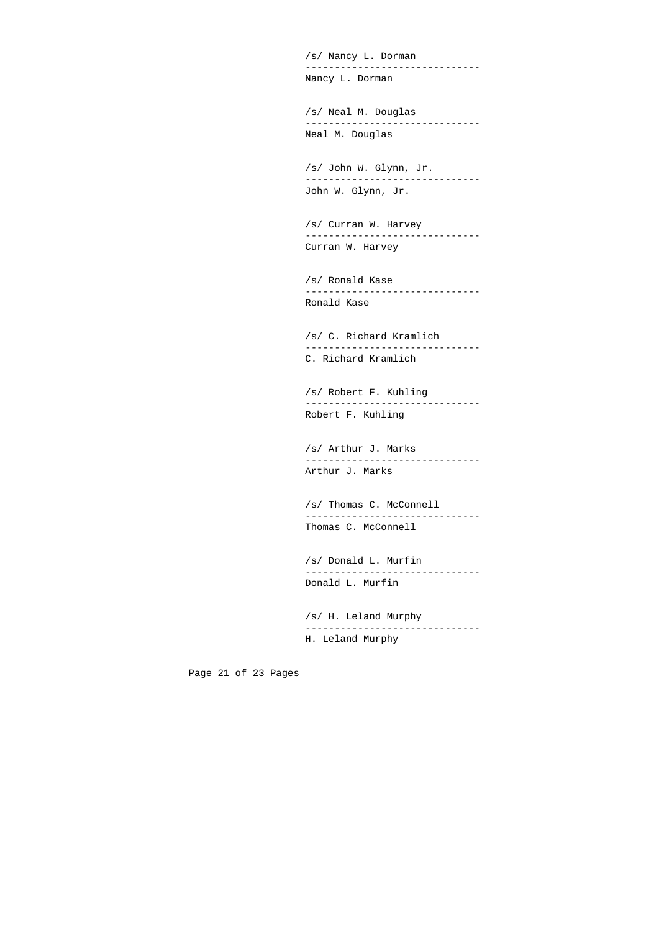/s/ Nancy L. Dorman ------------------------------ Nancy L. Dorman

 /s/ Neal M. Douglas ------------------------------ Neal M. Douglas

 /s/ John W. Glynn, Jr. ------------------------------ John W. Glynn, Jr.

> /s/ Curran W. Harvey ------------------------------ Curran W. Harvey

> /s/ Ronald Kase ------------------------------ Ronald Kase

> /s/ C. Richard Kramlich ------------------------------ C. Richard Kramlich

> /s/ Robert F. Kuhling ------------------------------ Robert F. Kuhling

> /s/ Arthur J. Marks ------------------------------ Arthur J. Marks

> /s/ Thomas C. McConnell ------------------------------ Thomas C. McConnell

> /s/ Donald L. Murfin ------------------------------ Donald L. Murfin

> /s/ H. Leland Murphy ------------------------------ H. Leland Murphy

Page 21 of 23 Pages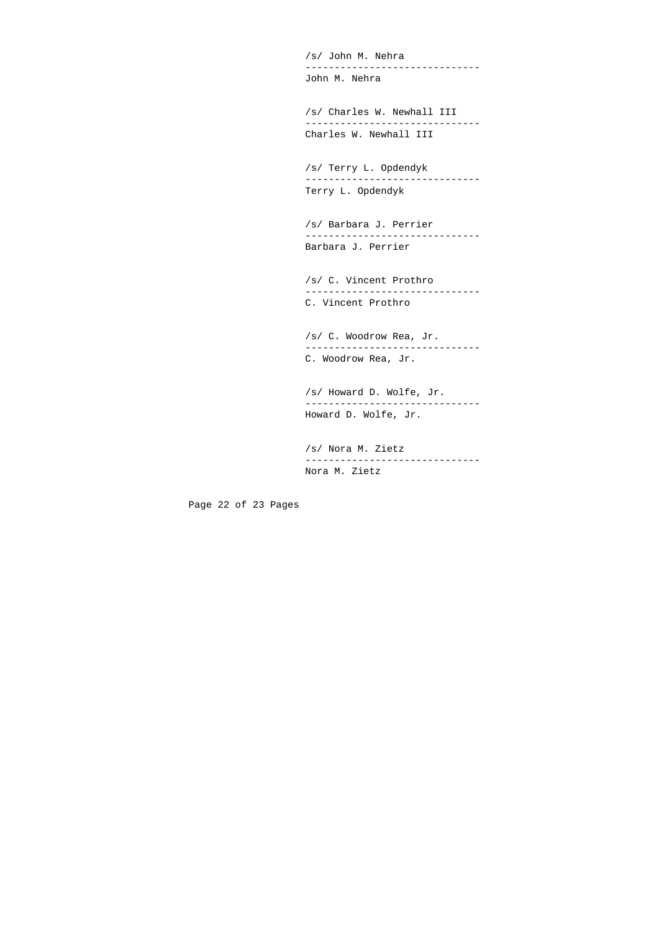/s/ John M. Nehra ------------------------------ John M. Nehra

 /s/ Charles W. Newhall III ------------------------------ Charles W. Newhall III

 /s/ Terry L. Opdendyk ------------------------------ Terry L. Opdendyk

 /s/ Barbara J. Perrier ------------------------------ Barbara J. Perrier

 /s/ C. Vincent Prothro ------------------------------ C. Vincent Prothro

 /s/ C. Woodrow Rea, Jr. ------------------------------ C. Woodrow Rea, Jr.

 /s/ Howard D. Wolfe, Jr. ------------------------------ Howard D. Wolfe, Jr.

 /s/ Nora M. Zietz ------------------------------ Nora M. Zietz

Page 22 of 23 Pages